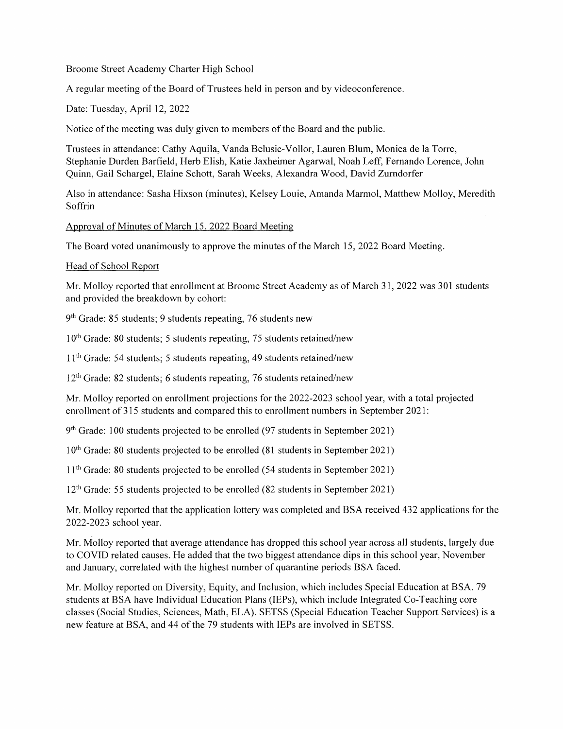Broome Street Academy Charter High School

A regular meeting of the Board of Trustees held in person and by videoconference.

Date: Tuesday, April 12, 2022

Notice of the meeting was duly given to members of the Board and the public.

Trustees in attendance: Cathy Aquila, Vanda Belusic-Vollor, Lauren Blum, Monica de la Torre, Stephanie Durden Barfield, Herb Elish, Katie Jaxheimer Agarwal, Noah Leff, Fernando Lorence, John Quinn, Gail Schargel, Elaine Schott, Sarah Weeks, Alexandra Wood, David Zurndorfer

Also in attendance: Sasha Hixson (minutes), Kelsey Louie, Amanda Marmol, Matthew Molloy, Meredith Soffrin

Approval of Minutes of March 15, 2022 Board Meeting

The Board voted unanimously to approve the minutes of the March 15, 2022 Board Meeting.

## Head of School Report

Mr. Molloy reported that enrollment at Broome Street Academy as of March 31, 2022 was 301 students and provided the breakdown by cohort:

9th Grade: 85 students; 9 students repeating, 76 students new

 $10<sup>th</sup>$  Grade: 80 students; 5 students repeating, 75 students retained/new

<sup>1</sup> 1th Grade: 54 students; 5 students repeating, 49 students retained/new

 $12<sup>th</sup>$  Grade: 82 students; 6 students repeating, 76 students retained/new

Mr. Molloy reported on enrollment projections for the 2022-2023 school year, with a total projected enrollment of 315 students and compared this to enrollment numbers in September 2021:

9<sup>th</sup> Grade: 100 students projected to be enrolled (97 students in September 2021)

10<sup>th</sup> Grade: 80 students projected to be enrolled (81 students in September 2021)

<sup>1</sup> 1th Grade: 80 students projected to be enrolled (54 students in September 2021)

 $12<sup>th</sup>$  Grade: 55 students projected to be enrolled (82 students in September 2021)

Mr. Molloy reported that the application lottery was completed and BSA received 432 applications for the 2022-2023 school year.

Mr. Molloy reported that average attendance has dropped this school year across all students, largely due to COVID related causes. He added that the two biggest attendance dips in this school year, November and January, correlated with the highest number of quarantine periods BSA faced.

Mr. Molloy reported on Diversity, Equity, and Inclusion, which includes Special Education at BSA. 79 students at BSA have Individual Education Plans (IEPs), which include Integrated Co-Teaching core classes (Social Studies, Sciences, Math, ELA). SETSS (Special Education Teacher Support Services) is a new feature at BSA, and 44 of the 79 students with IEPs are involved in SETSS.